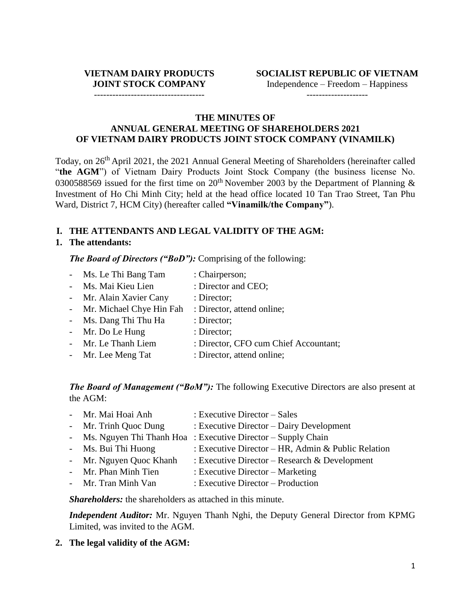Independence – Freedom – Happiness

------------------------------------

--------------------

#### **THE MINUTES OF ANNUAL GENERAL MEETING OF SHAREHOLDERS 2021 OF VIETNAM DAIRY PRODUCTS JOINT STOCK COMPANY (VINAMILK)**

Today, on 26<sup>th</sup> April 2021, the 2021 Annual General Meeting of Shareholders (hereinafter called "the AGM") of Vietnam Dairy Products Joint Stock Company (the business license No. 0300588569 issued for the first time on  $20<sup>th</sup>$  November 2003 by the Department of Planning & Investment of Ho Chi Minh City; held at the head office located 10 Tan Trao Street, Tan Phu Ward, District 7, HCM City) (hereafter called **"Vinamilk/the Company"**).

#### **I. THE ATTENDANTS AND LEGAL VALIDITY OF THE AGM:**

#### **1. The attendants:**

*The Board of Directors ("BoD"):* Comprising of the following:

- Ms. Le Thi Bang Tam : Chairperson; - Ms. Mai Kieu Lien : Director and CEO; - Mr. Alain Xavier Cany : Director: - Mr. Michael Chye Hin Fah : Director, attend online; - Ms. Dang Thi Thu Ha : Director; - Mr. Do Le Hung : Director; - Mr. Le Thanh Liem : Director, CFO cum Chief Accountant;
- Mr. Lee Meng Tat : Director, attend online;

*The Board of Management ("BoM"):* The following Executive Directors are also present at the AGM:

| - Mr. Mai Hoai Anh      | : Executive Director – Sales                                   |
|-------------------------|----------------------------------------------------------------|
| - Mr. Trinh Quoc Dung   | $:$ Executive Director $-$ Dairy Development                   |
|                         | - Ms. Nguyen Thi Thanh Hoa : Executive Director – Supply Chain |
| - Ms. Bui Thi Huong     | : Executive Director – HR, Admin & Public Relation             |
| - Mr. Nguyen Quoc Khanh | : Executive Director – Research & Development                  |
| - Mr. Phan Minh Tien    | : Executive Director $-$ Marketing                             |
| - Mr. Tran Minh Van     | $:$ Executive Director – Production                            |

*Shareholders:* the shareholders as attached in this minute.

*Independent Auditor:* Mr. Nguyen Thanh Nghi, the Deputy General Director from KPMG Limited, was invited to the AGM.

**2. The legal validity of the AGM:**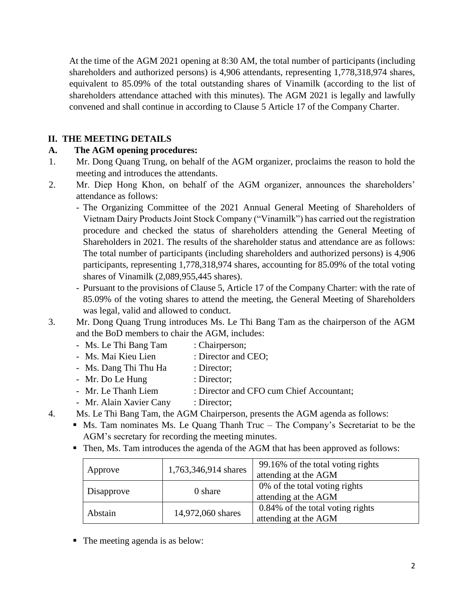At the time of the AGM 2021 opening at 8:30 AM, the total number of participants (including shareholders and authorized persons) is 4,906 attendants, representing 1,778,318,974 shares, equivalent to 85.09% of the total outstanding shares of Vinamilk (according to the list of shareholders attendance attached with this minutes). The AGM 2021 is legally and lawfully convened and shall continue in according to Clause 5 Article 17 of the Company Charter.

## **II. THE MEETING DETAILS**

### **A. The AGM opening procedures:**

- 1. Mr. Dong Quang Trung, on behalf of the AGM organizer, proclaims the reason to hold the meeting and introduces the attendants.
- 2. Mr. Diep Hong Khon, on behalf of the AGM organizer, announces the shareholders' attendance as follows:
	- The Organizing Committee of the 2021 Annual General Meeting of Shareholders of Vietnam Dairy Products Joint Stock Company ("Vinamilk") has carried out the registration procedure and checked the status of shareholders attending the General Meeting of Shareholders in 2021. The results of the shareholder status and attendance are as follows: The total number of participants (including shareholders and authorized persons) is 4,906 participants, representing 1,778,318,974 shares, accounting for 85.09% of the total voting shares of Vinamilk (2,089,955,445 shares).
	- Pursuant to the provisions of Clause 5, Article 17 of the Company Charter: with the rate of 85.09% of the voting shares to attend the meeting, the General Meeting of Shareholders was legal, valid and allowed to conduct.
- 3. Mr. Dong Quang Trung introduces Ms. Le Thi Bang Tam as the chairperson of the AGM and the BoD members to chair the AGM, includes:
	- Ms. Le Thi Bang Tam : Chairperson;
	- Ms. Mai Kieu Lien : Director and CEO;
	- Ms. Dang Thi Thu Ha : Director;
	- Mr. Do Le Hung : Director;
	- Mr. Le Thanh Liem : Director and CFO cum Chief Accountant;
	- Mr. Alain Xavier Cany : Director;
- 4. Ms. Le Thi Bang Tam, the AGM Chairperson, presents the AGM agenda as follows:

■ Ms. Tam nominates Ms. Le Quang Thanh Truc – The Company's Secretariat to be the AGM's secretary for recording the meeting minutes.

■ Then, Ms. Tam introduces the agenda of the AGM that has been approved as follows:

| Approve    | 1,763,346,914 shares | 99.16% of the total voting rights<br>attending at the AGM |
|------------|----------------------|-----------------------------------------------------------|
| Disapprove | 0 share              | 0% of the total voting rights<br>attending at the AGM     |
| Abstain    | 14,972,060 shares    | 0.84% of the total voting rights<br>attending at the AGM  |

■ The meeting agenda is as below: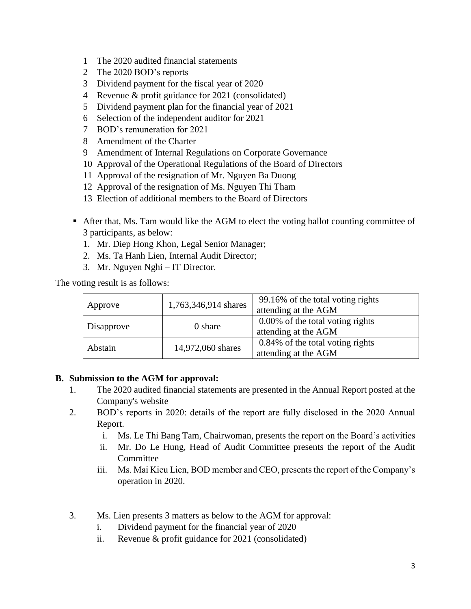- 1 The 2020 audited financial statements
- 2 The 2020 BOD's reports
- 3 Dividend payment for the fiscal year of 2020
- 4 Revenue & profit guidance for 2021 (consolidated)
- 5 Dividend payment plan for the financial year of 2021
- 6 Selection of the independent auditor for 2021
- 7 BOD's remuneration for 2021
- 8 Amendment of the Charter
- 9 Amendment of Internal Regulations on Corporate Governance
- 10 Approval of the Operational Regulations of the Board of Directors
- 11 Approval of the resignation of Mr. Nguyen Ba Duong
- 12 Approval of the resignation of Ms. Nguyen Thi Tham
- 13 Election of additional members to the Board of Directors
- After that, Ms. Tam would like the AGM to elect the voting ballot counting committee of 3 participants, as below:
	- 1. Mr. Diep Hong Khon, Legal Senior Manager;
	- 2. Ms. Ta Hanh Lien, Internal Audit Director;
	- 3. Mr. Nguyen Nghi IT Director.

The voting result is as follows:

| Approve    | 1,763,346,914 shares | 99.16% of the total voting rights<br>attending at the AGM |
|------------|----------------------|-----------------------------------------------------------|
| Disapprove | 0 share              | 0.00% of the total voting rights<br>attending at the AGM  |
| Abstain    | 14,972,060 shares    | 0.84% of the total voting rights<br>attending at the AGM  |

#### **B. Submission to the AGM for approval:**

- 1. The 2020 audited financial statements are presented in the Annual Report posted at the Company's website
- 2. BOD's reports in 2020: details of the report are fully disclosed in the 2020 Annual Report.
	- i. Ms. Le Thi Bang Tam, Chairwoman, presents the report on the Board's activities
	- ii. Mr. Do Le Hung, Head of Audit Committee presents the report of the Audit **Committee**
	- iii. Ms. Mai Kieu Lien, BOD member and CEO, presents the report of the Company's operation in 2020.
- 3. Ms. Lien presents 3 matters as below to the AGM for approval:
	- i. Dividend payment for the financial year of 2020
	- ii. Revenue & profit guidance for 2021 (consolidated)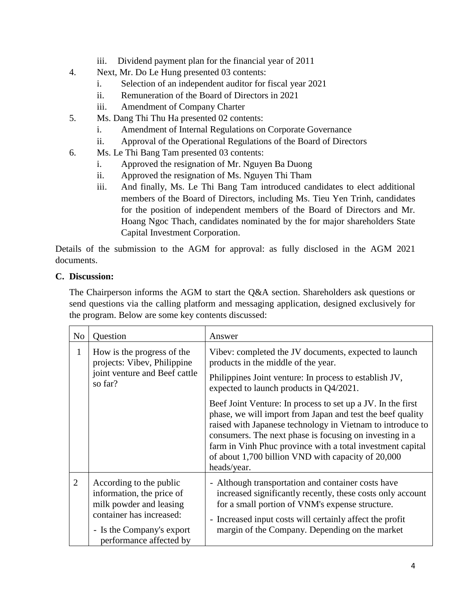- iii. Dividend payment plan for the financial year of 2011
- 4. Next, Mr. Do Le Hung presented 03 contents:
	- i. Selection of an independent auditor for fiscal year 2021
	- ii. Remuneration of the Board of Directors in 2021
	- iii. Amendment of Company Charter
- 5. Ms. Dang Thi Thu Ha presented 02 contents:
	- i. Amendment of Internal Regulations on Corporate Governance
	- ii. Approval of the Operational Regulations of the Board of Directors
- 6. Ms. Le Thi Bang Tam presented 03 contents:
	- i. Approved the resignation of Mr. Nguyen Ba Duong
	- ii. Approved the resignation of Ms. Nguyen Thi Tham
	- iii. And finally, Ms. Le Thi Bang Tam introduced candidates to elect additional members of the Board of Directors, including Ms. Tieu Yen Trinh, candidates for the position of independent members of the Board of Directors and Mr. Hoang Ngoc Thach, candidates nominated by the for major shareholders State Capital Investment Corporation.

Details of the submission to the AGM for approval: as fully disclosed in the AGM 2021 documents.

#### **C. Discussion:**

The Chairperson informs the AGM to start the Q&A section. Shareholders ask questions or send questions via the calling platform and messaging application, designed exclusively for the program. Below are some key contents discussed:

| No             | Question                                                                                                                                                            | Answer                                                                                                                                                                                                                                                                                                                                                                                |
|----------------|---------------------------------------------------------------------------------------------------------------------------------------------------------------------|---------------------------------------------------------------------------------------------------------------------------------------------------------------------------------------------------------------------------------------------------------------------------------------------------------------------------------------------------------------------------------------|
| $\mathbf{1}$   | How is the progress of the<br>projects: Vibev, Philippine<br>joint venture and Beef cattle<br>so far?                                                               | Vibev: completed the JV documents, expected to launch<br>products in the middle of the year.                                                                                                                                                                                                                                                                                          |
|                |                                                                                                                                                                     | Philippines Joint venture: In process to establish JV,<br>expected to launch products in Q4/2021.                                                                                                                                                                                                                                                                                     |
|                |                                                                                                                                                                     | Beef Joint Venture: In process to set up a JV. In the first<br>phase, we will import from Japan and test the beef quality<br>raised with Japanese technology in Vietnam to introduce to<br>consumers. The next phase is focusing on investing in a<br>farm in Vinh Phuc province with a total investment capital<br>of about 1,700 billion VND with capacity of 20,000<br>heads/year. |
| $\overline{2}$ | According to the public<br>information, the price of<br>milk powder and leasing<br>container has increased:<br>- Is the Company's export<br>performance affected by | - Although transportation and container costs have<br>increased significantly recently, these costs only account<br>for a small portion of VNM's expense structure.<br>- Increased input costs will certainly affect the profit<br>margin of the Company. Depending on the market                                                                                                     |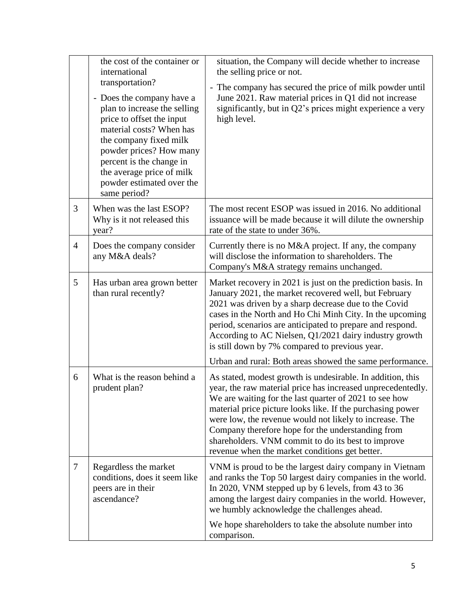|                | the cost of the container or<br>international<br>transportation?<br>- Does the company have a<br>plan to increase the selling<br>price to offset the input<br>material costs? When has<br>the company fixed milk<br>powder prices? How many<br>percent is the change in<br>the average price of milk<br>powder estimated over the<br>same period? | situation, the Company will decide whether to increase<br>the selling price or not.<br>- The company has secured the price of milk powder until<br>June 2021. Raw material prices in Q1 did not increase<br>significantly, but in Q2's prices might experience a very<br>high level.                                                                                                                                                                                                                                                  |
|----------------|---------------------------------------------------------------------------------------------------------------------------------------------------------------------------------------------------------------------------------------------------------------------------------------------------------------------------------------------------|---------------------------------------------------------------------------------------------------------------------------------------------------------------------------------------------------------------------------------------------------------------------------------------------------------------------------------------------------------------------------------------------------------------------------------------------------------------------------------------------------------------------------------------|
| 3              | When was the last ESOP?<br>Why is it not released this<br>year?                                                                                                                                                                                                                                                                                   | The most recent ESOP was issued in 2016. No additional<br>issuance will be made because it will dilute the ownership<br>rate of the state to under 36%.                                                                                                                                                                                                                                                                                                                                                                               |
| $\overline{4}$ | Does the company consider<br>any M&A deals?                                                                                                                                                                                                                                                                                                       | Currently there is no M&A project. If any, the company<br>will disclose the information to shareholders. The<br>Company's M&A strategy remains unchanged.                                                                                                                                                                                                                                                                                                                                                                             |
| 5              | Has urban area grown better<br>than rural recently?                                                                                                                                                                                                                                                                                               | Market recovery in 2021 is just on the prediction basis. In<br>January 2021, the market recovered well, but February<br>2021 was driven by a sharp decrease due to the Covid<br>cases in the North and Ho Chi Minh City. In the upcoming<br>period, scenarios are anticipated to prepare and respond.<br>According to AC Nielsen, Q1/2021 dairy industry growth<br>is still down by 7% compared to previous year.                                                                                                                     |
| 6              | What is the reason behind a<br>prudent plan?                                                                                                                                                                                                                                                                                                      | Urban and rural: Both areas showed the same performance.<br>As stated, modest growth is undesirable. In addition, this<br>year, the raw material price has increased unprecedentedly.<br>We are waiting for the last quarter of 2021 to see how<br>material price picture looks like. If the purchasing power<br>were low, the revenue would not likely to increase. The<br>Company therefore hope for the understanding from<br>shareholders. VNM commit to do its best to improve<br>revenue when the market conditions get better. |
| 7              | Regardless the market<br>conditions, does it seem like<br>peers are in their<br>ascendance?                                                                                                                                                                                                                                                       | VNM is proud to be the largest dairy company in Vietnam<br>and ranks the Top 50 largest dairy companies in the world.<br>In 2020, VNM stepped up by 6 levels, from 43 to 36<br>among the largest dairy companies in the world. However,<br>we humbly acknowledge the challenges ahead.<br>We hope shareholders to take the absolute number into<br>comparison.                                                                                                                                                                        |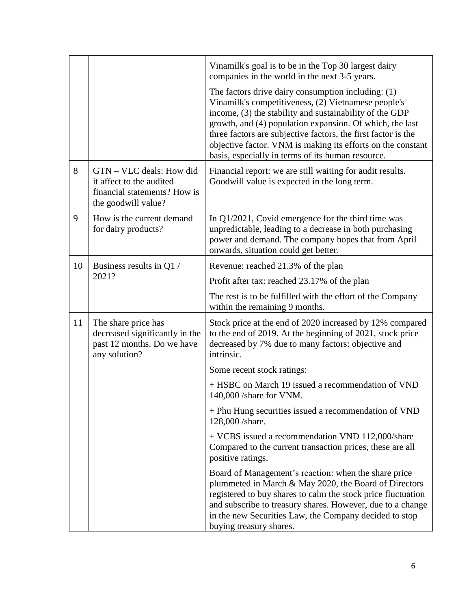| 8  | GTN – VLC deals: How did                                                                             | Vinamilk's goal is to be in the Top 30 largest dairy<br>companies in the world in the next 3-5 years.<br>The factors drive dairy consumption including: $(1)$<br>Vinamilk's competitiveness, (2) Vietnamese people's<br>income, (3) the stability and sustainability of the GDP<br>growth, and (4) population expansion. Of which, the last<br>three factors are subjective factors, the first factor is the<br>objective factor. VNM is making its efforts on the constant<br>basis, especially in terms of its human resource. |
|----|------------------------------------------------------------------------------------------------------|----------------------------------------------------------------------------------------------------------------------------------------------------------------------------------------------------------------------------------------------------------------------------------------------------------------------------------------------------------------------------------------------------------------------------------------------------------------------------------------------------------------------------------|
|    | it affect to the audited<br>financial statements? How is<br>the goodwill value?                      | Financial report: we are still waiting for audit results.<br>Goodwill value is expected in the long term.                                                                                                                                                                                                                                                                                                                                                                                                                        |
| 9  | How is the current demand<br>for dairy products?                                                     | In $Q1/2021$ , Covid emergence for the third time was<br>unpredictable, leading to a decrease in both purchasing<br>power and demand. The company hopes that from April<br>onwards, situation could get better.                                                                                                                                                                                                                                                                                                                  |
| 10 | Business results in Q1 /                                                                             | Revenue: reached 21.3% of the plan                                                                                                                                                                                                                                                                                                                                                                                                                                                                                               |
|    | 2021?                                                                                                | Profit after tax: reached 23.17% of the plan                                                                                                                                                                                                                                                                                                                                                                                                                                                                                     |
|    |                                                                                                      | The rest is to be fulfilled with the effort of the Company<br>within the remaining 9 months.                                                                                                                                                                                                                                                                                                                                                                                                                                     |
| 11 | The share price has<br>decreased significantly in the<br>past 12 months. Do we have<br>any solution? | Stock price at the end of 2020 increased by 12% compared<br>to the end of 2019. At the beginning of 2021, stock price<br>decreased by 7% due to many factors: objective and<br>intrinsic.                                                                                                                                                                                                                                                                                                                                        |
|    |                                                                                                      | Some recent stock ratings:                                                                                                                                                                                                                                                                                                                                                                                                                                                                                                       |
|    |                                                                                                      | + HSBC on March 19 issued a recommendation of VND<br>140,000 /share for VNM.                                                                                                                                                                                                                                                                                                                                                                                                                                                     |
|    |                                                                                                      | + Phu Hung securities issued a recommendation of VND<br>128,000/share.                                                                                                                                                                                                                                                                                                                                                                                                                                                           |
|    |                                                                                                      | + VCBS issued a recommendation VND 112,000/share<br>Compared to the current transaction prices, these are all<br>positive ratings.                                                                                                                                                                                                                                                                                                                                                                                               |
|    |                                                                                                      | Board of Management's reaction: when the share price<br>plummeted in March & May 2020, the Board of Directors<br>registered to buy shares to calm the stock price fluctuation<br>and subscribe to treasury shares. However, due to a change<br>in the new Securities Law, the Company decided to stop<br>buying treasury shares.                                                                                                                                                                                                 |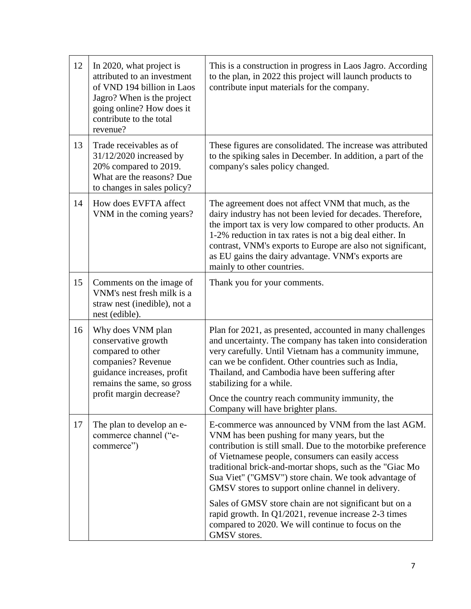| 12 | In 2020, what project is<br>attributed to an investment<br>of VND 194 billion in Laos<br>Jagro? When is the project<br>going online? How does it<br>contribute to the total<br>revenue? | This is a construction in progress in Laos Jagro. According<br>to the plan, in 2022 this project will launch products to<br>contribute input materials for the company.                                                                                                                                                                                                                                                                                                                                                                                                                   |
|----|-----------------------------------------------------------------------------------------------------------------------------------------------------------------------------------------|-------------------------------------------------------------------------------------------------------------------------------------------------------------------------------------------------------------------------------------------------------------------------------------------------------------------------------------------------------------------------------------------------------------------------------------------------------------------------------------------------------------------------------------------------------------------------------------------|
| 13 | Trade receivables as of<br>31/12/2020 increased by<br>20% compared to 2019.<br>What are the reasons? Due<br>to changes in sales policy?                                                 | These figures are consolidated. The increase was attributed<br>to the spiking sales in December. In addition, a part of the<br>company's sales policy changed.                                                                                                                                                                                                                                                                                                                                                                                                                            |
| 14 | How does EVFTA affect<br>VNM in the coming years?                                                                                                                                       | The agreement does not affect VNM that much, as the<br>dairy industry has not been levied for decades. Therefore,<br>the import tax is very low compared to other products. An<br>1-2% reduction in tax rates is not a big deal either. In<br>contrast, VNM's exports to Europe are also not significant,<br>as EU gains the dairy advantage. VNM's exports are<br>mainly to other countries.                                                                                                                                                                                             |
| 15 | Comments on the image of<br>VNM's nest fresh milk is a<br>straw nest (inedible), not a<br>nest (edible).                                                                                | Thank you for your comments.                                                                                                                                                                                                                                                                                                                                                                                                                                                                                                                                                              |
| 16 | Why does VNM plan<br>conservative growth<br>compared to other<br>companies? Revenue<br>guidance increases, profit<br>remains the same, so gross<br>profit margin decrease?              | Plan for 2021, as presented, accounted in many challenges<br>and uncertainty. The company has taken into consideration<br>very carefully. Until Vietnam has a community immune,<br>can we be confident. Other countries such as India,<br>Thailand, and Cambodia have been suffering after<br>stabilizing for a while.<br>Once the country reach community immunity, the<br>Company will have brighter plans.                                                                                                                                                                             |
| 17 | The plan to develop an e-<br>commerce channel ("e-<br>commerce")                                                                                                                        | E-commerce was announced by VNM from the last AGM.<br>VNM has been pushing for many years, but the<br>contribution is still small. Due to the motorbike preference<br>of Vietnamese people, consumers can easily access<br>traditional brick-and-mortar shops, such as the "Giac Mo<br>Sua Viet" ("GMSV") store chain. We took advantage of<br>GMSV stores to support online channel in delivery.<br>Sales of GMSV store chain are not significant but on a<br>rapid growth. In Q1/2021, revenue increase 2-3 times<br>compared to 2020. We will continue to focus on the<br>GMSV stores. |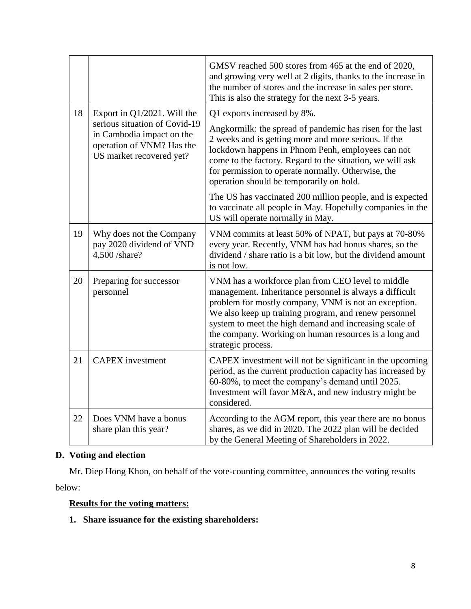|    |                                                                                                                                                       | GMSV reached 500 stores from 465 at the end of 2020,<br>and growing very well at 2 digits, thanks to the increase in<br>the number of stores and the increase in sales per store.<br>This is also the strategy for the next 3-5 years.                                                                                                                                 |
|----|-------------------------------------------------------------------------------------------------------------------------------------------------------|------------------------------------------------------------------------------------------------------------------------------------------------------------------------------------------------------------------------------------------------------------------------------------------------------------------------------------------------------------------------|
| 18 | Export in $Q1/2021$ . Will the<br>serious situation of Covid-19<br>in Cambodia impact on the<br>operation of VNM? Has the<br>US market recovered yet? | Q1 exports increased by 8%.<br>Angkormilk: the spread of pandemic has risen for the last<br>2 weeks and is getting more and more serious. If the<br>lockdown happens in Phnom Penh, employees can not<br>come to the factory. Regard to the situation, we will ask<br>for permission to operate normally. Otherwise, the<br>operation should be temporarily on hold.   |
|    |                                                                                                                                                       | The US has vaccinated 200 million people, and is expected<br>to vaccinate all people in May. Hopefully companies in the<br>US will operate normally in May.                                                                                                                                                                                                            |
| 19 | Why does not the Company<br>pay 2020 dividend of VND<br>4,500 /share?                                                                                 | VNM commits at least 50% of NPAT, but pays at 70-80%<br>every year. Recently, VNM has had bonus shares, so the<br>dividend / share ratio is a bit low, but the dividend amount<br>is not low.                                                                                                                                                                          |
| 20 | Preparing for successor<br>personnel                                                                                                                  | VNM has a workforce plan from CEO level to middle<br>management. Inheritance personnel is always a difficult<br>problem for mostly company, VNM is not an exception.<br>We also keep up training program, and renew personnel<br>system to meet the high demand and increasing scale of<br>the company. Working on human resources is a long and<br>strategic process. |
| 21 | <b>CAPEX</b> investment                                                                                                                               | CAPEX investment will not be significant in the upcoming<br>period, as the current production capacity has increased by<br>60-80%, to meet the company's demand until 2025.<br>Investment will favor M&A, and new industry might be<br>considered.                                                                                                                     |
| 22 | Does VNM have a bonus<br>share plan this year?                                                                                                        | According to the AGM report, this year there are no bonus<br>shares, as we did in 2020. The 2022 plan will be decided<br>by the General Meeting of Shareholders in 2022.                                                                                                                                                                                               |

## **D. Voting and election**

Mr. Diep Hong Khon, on behalf of the vote-counting committee, announces the voting results below:

### **Results for the voting matters:**

**1. Share issuance for the existing shareholders:**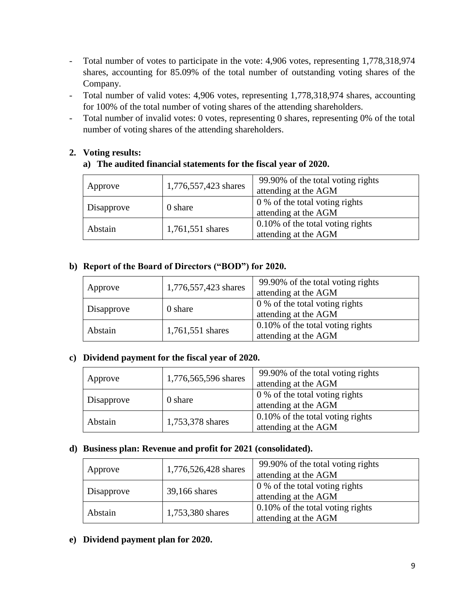- Total number of votes to participate in the vote: 4,906 votes, representing 1,778,318,974 shares, accounting for 85.09% of the total number of outstanding voting shares of the Company.
- Total number of valid votes: 4,906 votes, representing 1,778,318,974 shares, accounting for 100% of the total number of voting shares of the attending shareholders.
- Total number of invalid votes: 0 votes, representing 0 shares, representing 0% of the total number of voting shares of the attending shareholders.

## **2. Voting results:**

## **a) The audited financial statements for the fiscal year of 2020.**

| Approve    | 1,776,557,423 shares | 99.90% of the total voting rights<br>attending at the AGM |
|------------|----------------------|-----------------------------------------------------------|
| Disapprove | 0 share              | 0 % of the total voting rights<br>attending at the AGM    |
| Abstain    | 1,761,551 shares     | 0.10% of the total voting rights<br>attending at the AGM  |

## **b) Report of the Board of Directors ("BOD") for 2020.**

| Approve    | 1,776,557,423 shares | 99.90% of the total voting rights<br>attending at the AGM |
|------------|----------------------|-----------------------------------------------------------|
| Disapprove | 0 share              | 0 % of the total voting rights<br>attending at the AGM    |
| Abstain    | 1,761,551 shares     | 0.10% of the total voting rights<br>attending at the AGM  |

#### **c) Dividend payment for the fiscal year of 2020.**

| Approve    | 1,776,565,596 shares | 99.90% of the total voting rights<br>attending at the AGM |
|------------|----------------------|-----------------------------------------------------------|
| Disapprove | 0 share              | 0 % of the total voting rights<br>attending at the AGM    |
| Abstain    | 1,753,378 shares     | 0.10% of the total voting rights<br>attending at the AGM  |

#### **d) Business plan: Revenue and profit for 2021 (consolidated).**

| Approve    | 1,776,526,428 shares | 99.90% of the total voting rights<br>attending at the AGM   |
|------------|----------------------|-------------------------------------------------------------|
| Disapprove | 39,166 shares        | 0 % of the total voting rights<br>attending at the AGM      |
| Abstain    | 1,753,380 shares     | $0.10\%$ of the total voting rights<br>attending at the AGM |

**e) Dividend payment plan for 2020.**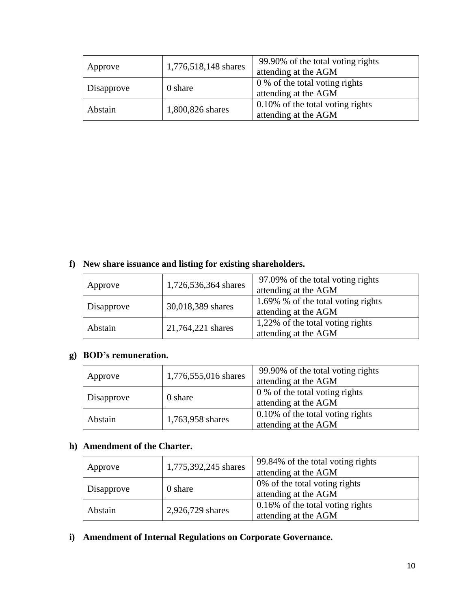| Approve    | 1,776,518,148 shares | 99.90% of the total voting rights<br>attending at the AGM |  |
|------------|----------------------|-----------------------------------------------------------|--|
| Disapprove | 0 share              | 0 % of the total voting rights<br>attending at the AGM    |  |
| Abstain    | 1,800,826 shares     | 0.10% of the total voting rights<br>attending at the AGM  |  |

## **f) New share issuance and listing for existing shareholders.**

| Approve    | 1,726,536,364 shares | 97.09% of the total voting rights<br>attending at the AGM  |  |
|------------|----------------------|------------------------------------------------------------|--|
| Disapprove | 30,018,389 shares    | 1.69% % of the total voting rights<br>attending at the AGM |  |
| Abstain    | 21,764,221 shares    | 1,22% of the total voting rights<br>attending at the AGM   |  |

## **g) BOD's remuneration.**

| Approve    | 1,776,555,016 shares | 99.90% of the total voting rights<br>attending at the AGM   |  |
|------------|----------------------|-------------------------------------------------------------|--|
| Disapprove | 0 share              | 0 % of the total voting rights<br>attending at the AGM      |  |
| Abstain    | 1,763,958 shares     | $0.10\%$ of the total voting rights<br>attending at the AGM |  |

## **h) Amendment of the Charter.**

| Approve    | 1,775,392,245 shares | 99.84% of the total voting rights<br>attending at the AGM   |  |
|------------|----------------------|-------------------------------------------------------------|--|
| Disapprove | 0 share              | 0% of the total voting rights<br>attending at the AGM       |  |
| Abstain    | 2,926,729 shares     | $0.16\%$ of the total voting rights<br>attending at the AGM |  |

**i) Amendment of Internal Regulations on Corporate Governance.**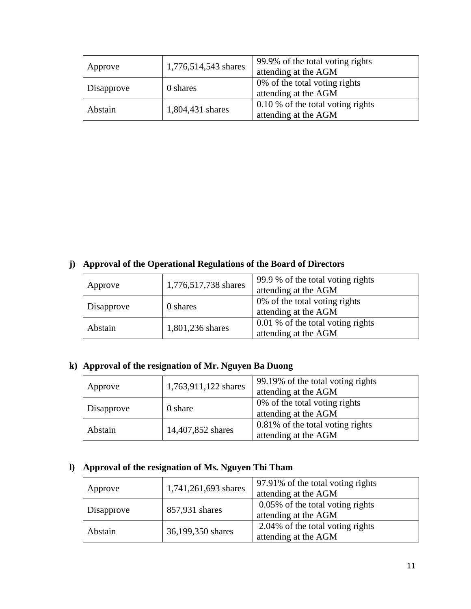| Approve    | 1,776,514,543 shares | 99.9% of the total voting rights<br>attending at the AGM    |  |
|------------|----------------------|-------------------------------------------------------------|--|
| Disapprove | 0 shares             | 0% of the total voting rights<br>attending at the AGM       |  |
| Abstain    | 1,804,431 shares     | $0.10\%$ of the total voting rights<br>attending at the AGM |  |

# **j) Approval of the Operational Regulations of the Board of Directors**

| Approve    | 1,776,517,738 shares | 99.9 % of the total voting rights<br>attending at the AGM |  |
|------------|----------------------|-----------------------------------------------------------|--|
| Disapprove | 0 shares             | 0% of the total voting rights<br>attending at the AGM     |  |
| Abstain    | 1,801,236 shares     | 0.01 % of the total voting rights<br>attending at the AGM |  |

# **k) Approval of the resignation of Mr. Nguyen Ba Duong**

| Approve    | 1,763,911,122 shares | 99.19% of the total voting rights<br>attending at the AGM |  |
|------------|----------------------|-----------------------------------------------------------|--|
| Disapprove | 0 share              | 0% of the total voting rights<br>attending at the AGM     |  |
| Abstain    | 14,407,852 shares    | 0.81% of the total voting rights<br>attending at the AGM  |  |

# **l) Approval of the resignation of Ms. Nguyen Thi Tham**

| Approve    | 1,741,261,693 shares | 97.91% of the total voting rights<br>attending at the AGM |  |
|------------|----------------------|-----------------------------------------------------------|--|
| Disapprove | 857,931 shares       | 0.05% of the total voting rights<br>attending at the AGM  |  |
| Abstain    | 36,199,350 shares    | 2.04% of the total voting rights<br>attending at the AGM  |  |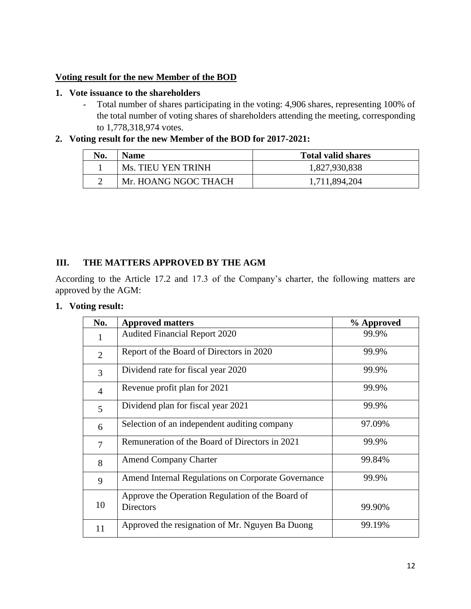#### **Voting result for the new Member of the BOD**

#### **1. Vote issuance to the shareholders**

- Total number of shares participating in the voting: 4,906 shares, representing 100% of the total number of voting shares of shareholders attending the meeting, corresponding to 1,778,318,974 votes.

### **2. Voting result for the new Member of the BOD for 2017-2021:**

| No. | <b>Name</b>          | <b>Total valid shares</b> |  |
|-----|----------------------|---------------------------|--|
|     | Ms. TIEU YEN TRINH   | 1,827,930,838             |  |
|     | Mr. HOANG NGOC THACH | 1,711,894,204             |  |

## **III. THE MATTERS APPROVED BY THE AGM**

According to the Article 17.2 and 17.3 of the Company's charter, the following matters are approved by the AGM:

## **1. Voting result:**

| No.            | <b>Approved matters</b>                                              | % Approved |
|----------------|----------------------------------------------------------------------|------------|
| 1              | <b>Audited Financial Report 2020</b>                                 | 99.9%      |
| $\overline{2}$ | Report of the Board of Directors in 2020                             | 99.9%      |
| 3              | Dividend rate for fiscal year 2020                                   | 99.9%      |
| $\overline{4}$ | Revenue profit plan for 2021                                         | 99.9%      |
| 5              | Dividend plan for fiscal year 2021                                   | 99.9%      |
| 6              | Selection of an independent auditing company                         | 97.09%     |
| $\overline{7}$ | Remuneration of the Board of Directors in 2021                       | 99.9%      |
| 8              | <b>Amend Company Charter</b>                                         | 99.84%     |
| 9              | Amend Internal Regulations on Corporate Governance                   | 99.9%      |
| 10             | Approve the Operation Regulation of the Board of<br><b>Directors</b> | 99.90%     |
| 11             | Approved the resignation of Mr. Nguyen Ba Duong                      | 99.19%     |